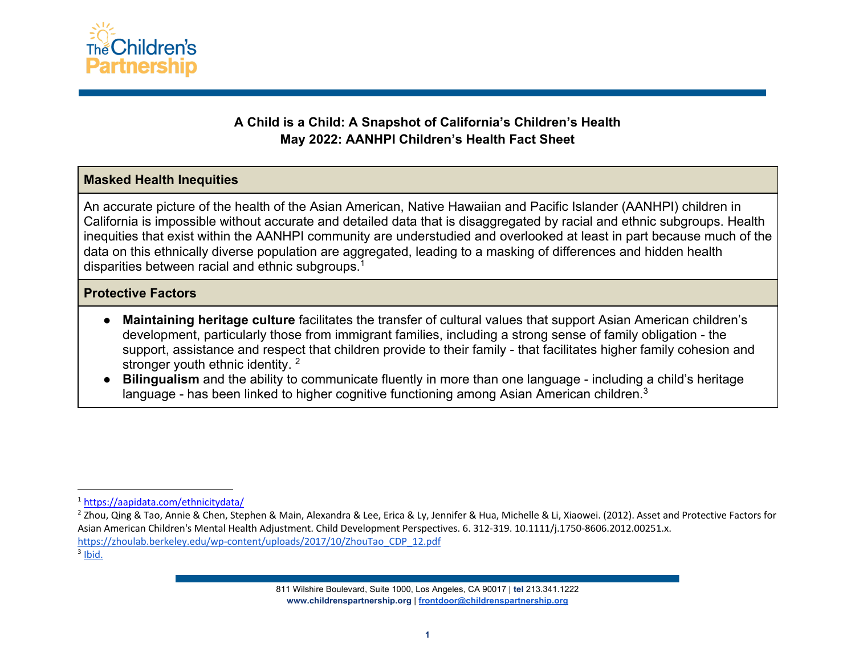

# **A Child is a Child: A Snapshot of California's Children's Health May 2022: AANHPI Children's Health Fact Sheet**

## **Masked Health Inequities**

An accurate picture of the health of the Asian American, Native Hawaiian and Pacific Islander (AANHPI) children in California is impossible without accurate and detailed data that is disaggregated by racial and ethnic subgroups. Health inequities that exist within the AANHPI community are understudied and overlooked at least in part because much of the data on this ethnically diverse population are aggregated, leading to a masking of differences and hidden health disparities between racial and ethnic subgroups.1

## **Protective Factors**

- **Maintaining heritage culture** facilitates the transfer of cultural values that support Asian American children's development, particularly those from immigrant families, including a strong sense of family obligation - the support, assistance and respect that children provide to their family - that facilitates higher family cohesion and stronger youth ethnic identity.<sup>2</sup>
- **Bilingualism** and the ability to communicate fluently in more than one language including a child's heritage language - has been linked to higher cognitive functioning among Asian American children.<sup>3</sup>

<sup>1</sup> https://aapidata.com/ethnicitydata/

<sup>&</sup>lt;sup>2</sup> Zhou, Qing & Tao, Annie & Chen, Stephen & Main, Alexandra & Lee, Erica & Ly, Jennifer & Hua, Michelle & Li, Xiaowei. (2012). Asset and Protective Factors for Asian American Children's Mental Health Adjustment. Child Development Perspectives. 6. 312-319. 10.1111/j.1750-8606.2012.00251.x. https://zhoulab.berkeley.edu/wp-content/uploads/2017/10/ZhouTao\_CDP\_12.pdf

 $3$  Ibid.

<sup>811</sup> Wilshire Boulevard, Suite 1000, Los Angeles, CA 90017 | **tel** 213.341.1222 **www.childrenspartnership.org** | **frontdoor@childrenspartnership.org**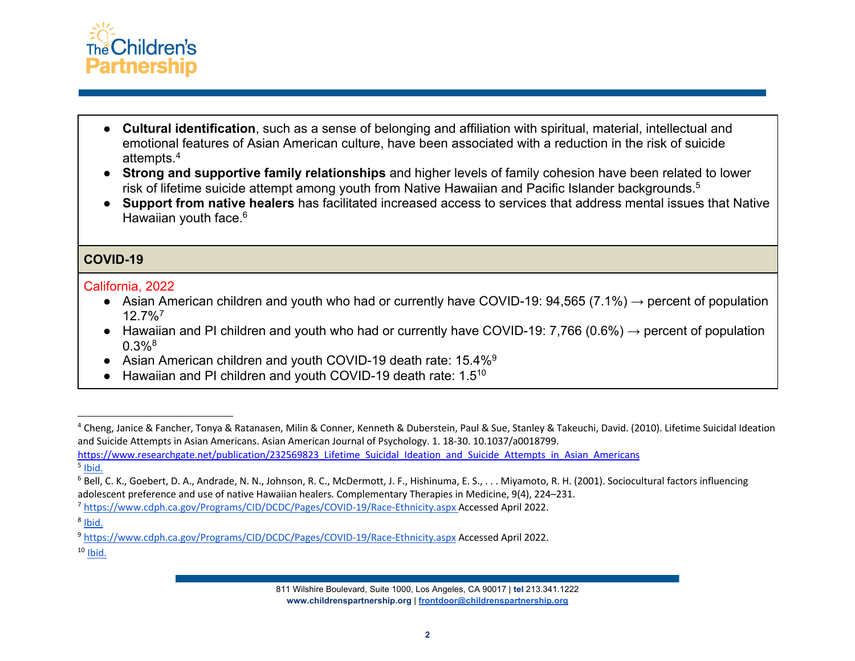

- **Cultural identification**, such as a sense of belonging and affiliation with spiritual, material, intellectual and emotional features of Asian American culture, have been associated with a reduction in the risk of suicide attempts.4
- **Strong and supportive family relationships** and higher levels of family cohesion have been related to lower risk of lifetime suicide attempt among youth from Native Hawaiian and Pacific Islander backgrounds.<sup>5</sup>
- **Support from native healers** has facilitated increased access to services that address mental issues that Native Hawaiian youth face.<sup>6</sup>

## **COVID-19**

#### California, 2022

- Asian American children and youth who had or currently have COVID-19: 94,565 (7.1%)  $\rightarrow$  percent of population 12.7%7
- Hawaiian and PI children and youth who had or currently have COVID-19: 7,766 (0.6%)  $\rightarrow$  percent of population  $0.3\%$ <sup>8</sup>
- Asian American children and youth COVID-19 death rate: 15.4%<sup>9</sup>
- Hawaiian and PI children and youth COVID-19 death rate: 1.5<sup>10</sup>

 $10$  Ibid.

<sup>4</sup> Cheng, Janice & Fancher, Tonya & Ratanasen, Milin & Conner, Kenneth & Duberstein, Paul & Sue, Stanley & Takeuchi, David. (2010). Lifetime Suicidal Ideation and Suicide Attempts in Asian Americans. Asian American Journal of Psychology. 1. 18-30. 10.1037/a0018799.

https://www.researchgate.net/publication/232569823\_Lifetime\_Suicidal\_Ideation\_and\_Suicide\_Attempts\_in\_Asian\_Americans  $<sup>5</sup>$  Ibid.</sup>

<sup>6</sup> Bell, C. K., Goebert, D. A., Andrade, N. N., Johnson, R. C., McDermott, J. F., Hishinuma, E. S., . . . Miyamoto, R. H. (2001). Sociocultural factors influencing

adolescent preference and use of native Hawaiian healers. Complementary Therapies in Medicine, 9(4), 224–231. <br><sup>7</sup> https://www.cdph.ca.gov/Programs/CID/DCDC/Pages/COVID-19/Race-Ethnicity.aspx Accessed April 2022.

 $8$  Ibid.

<sup>9</sup> https://www.cdph.ca.gov/Programs/CID/DCDC/Pages/COVID-19/Race-Ethnicity.aspx Accessed April 2022.

<sup>811</sup> Wilshire Boulevard, Suite 1000, Los Angeles, CA 90017 | **tel** 213.341.1222 **www.childrenspartnership.org** | **frontdoor@childrenspartnership.org**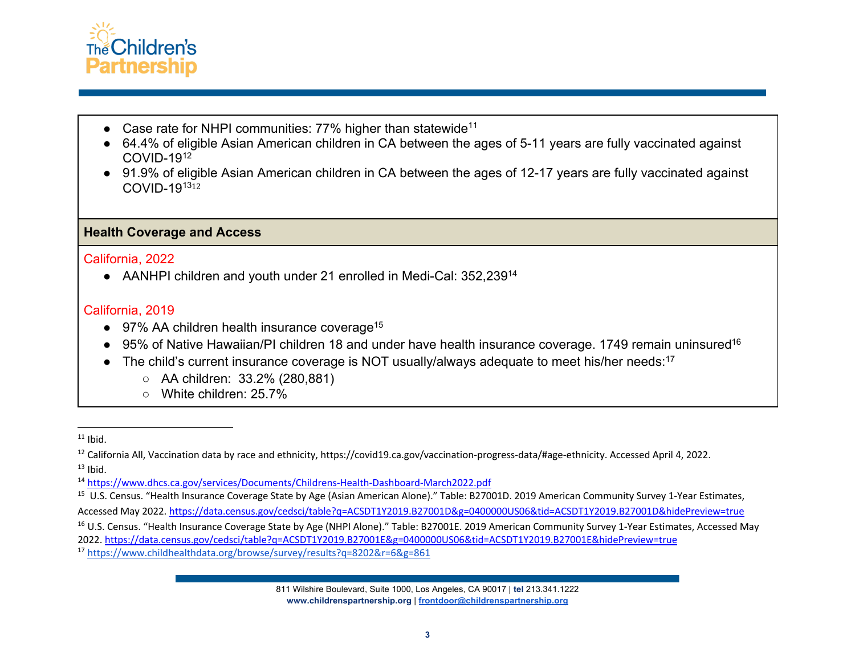

- Case rate for NHPI communities:  $77%$  higher than statewide<sup>11</sup>
- 64.4% of eligible Asian American children in CA between the ages of 5-11 years are fully vaccinated against  $COVID-19<sup>12</sup>$
- 91.9% of eligible Asian American children in CA between the ages of 12-17 years are fully vaccinated against COVID-1913<sup>12</sup>

## **Health Coverage and Access**

#### California, 2022

• AANHPI children and youth under 21 enrolled in Medi-Cal: 352,239<sup>14</sup>

# California, 2019

- $\bullet$  97% AA children health insurance coverage<sup>15</sup>
- 95% of Native Hawaiian/PI children 18 and under have health insurance coverage. 1749 remain uninsured<sup>16</sup>
- The child's current insurance coverage is NOT usually/always adequate to meet his/her needs:<sup>17</sup>
	- AA children: 33.2% (280,881)
	- White children: 25.7%

<sup>13</sup> Ibid.<br><sup>14</sup> https://www.dhcs.ca.gov/services/Documents/Childrens-Health-Dashboard-March2022.pdf

<sup>15</sup> U.S. Census. "Health Insurance Coverage State by Age (Asian American Alone)." Table: B27001D. 2019 American Community Survey 1-Year Estimates,

Accessed May 2022. https://data.census.gov/cedsci/table?q=ACSDT1Y2019.B27001D&g=0400000US06&tid=ACSDT1Y2019.B27001D&hidePreview=true

<sup>16</sup> U.S. Census. "Health Insurance Coverage State by Age (NHPI Alone)." Table: B27001E. 2019 American Community Survey 1-Year Estimates, Accessed May

811 Wilshire Boulevard, Suite 1000, Los Angeles, CA 90017 | **tel** 213.341.1222 **www.childrenspartnership.org** | **frontdoor@childrenspartnership.org**

 $11$  Ibid.

<sup>&</sup>lt;sup>12</sup> California All, Vaccination data by race and ethnicity, https://covid19.ca.gov/vaccination-progress-data/#age-ethnicity. Accessed April 4, 2022.

<sup>2022.</sup> https://data.census.gov/cedsci/table?q=ACSDT1Y2019.B27001E&g=0400000US06&tid=ACSDT1Y2019.B27001E&hidePreview=true

<sup>17</sup> https://www.childhealthdata.org/browse/survey/results?q=8202&r=6&g=861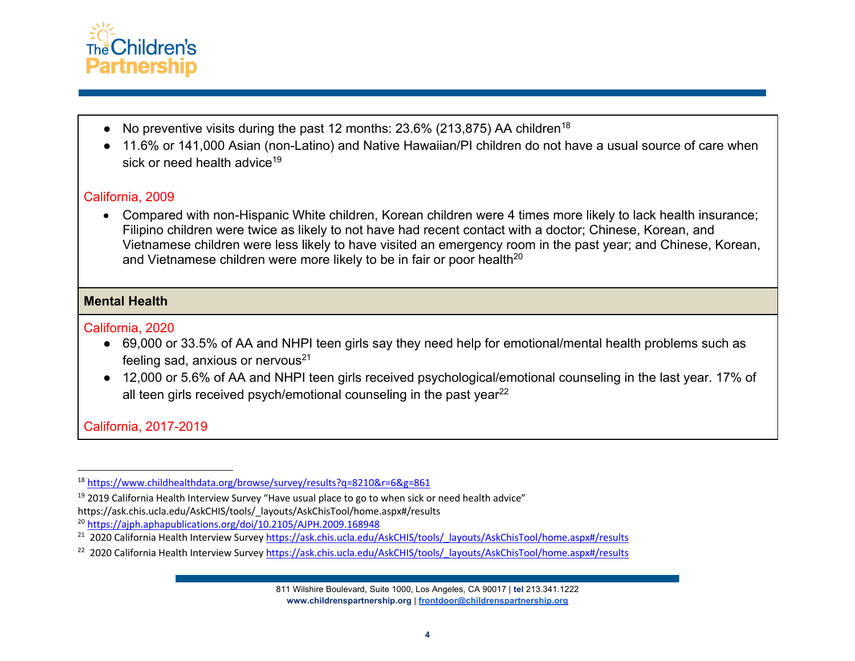

- No preventive visits during the past 12 months:  $23.6\%$  (213,875) AA children<sup>18</sup>
- 11.6% or 141,000 Asian (non-Latino) and Native Hawaiian/PI children do not have a usual source of care when sick or need health advice<sup>19</sup>

## California, 2009

• Compared with non-Hispanic White children, Korean children were 4 times more likely to lack health insurance; Filipino children were twice as likely to not have had recent contact with a doctor; Chinese, Korean, and Vietnamese children were less likely to have visited an emergency room in the past year; and Chinese, Korean, and Vietnamese children were more likely to be in fair or poor health<sup>20</sup>

## **Mental Health**

## California, 2020

- 69,000 or 33.5% of AA and NHPI teen girls say they need help for emotional/mental health problems such as feeling sad, anxious or nervous $21$
- 12,000 or 5.6% of AA and NHPI teen girls received psychological/emotional counseling in the last year. 17% of all teen girls received psych/emotional counseling in the past year $^{22}$

# California, 2017-2019

<sup>18</sup> https://www.childhealthdata.org/browse/survey/results?q=8210&r=6&g=861

<sup>&</sup>lt;sup>19</sup> 2019 California Health Interview Survey "Have usual place to go to when sick or need health advice" https://ask.chis.ucla.edu/AskCHIS/tools/\_layouts/AskChisTool/home.aspx#/results

<sup>20</sup> https://ajph.aphapublications.org/doi/10.2105/AJPH.2009.168948

<sup>&</sup>lt;sup>21</sup> 2020 California Health Interview Survey https://ask.chis.ucla.edu/AskCHIS/tools/\_layouts/AskChisTool/home.aspx#/results

<sup>&</sup>lt;sup>22</sup> 2020 California Health Interview Survey https://ask.chis.ucla.edu/AskCHIS/tools/\_layouts/AskChisTool/home.aspx#/results

<sup>811</sup> Wilshire Boulevard, Suite 1000, Los Angeles, CA 90017 | **tel** 213.341.1222 **www.childrenspartnership.org** | **frontdoor@childrenspartnership.org**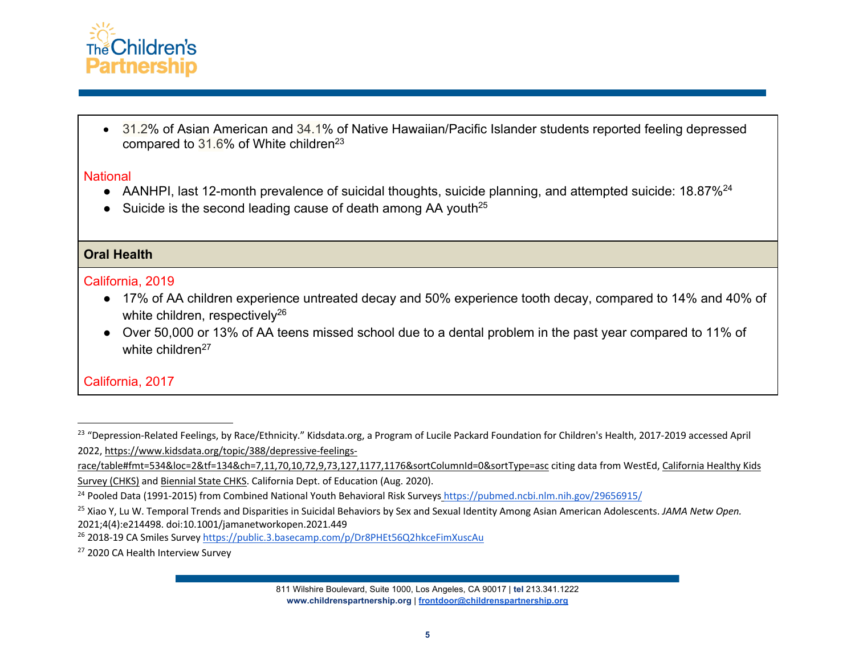

• 31.2% of Asian American and 34.1% of Native Hawaiian/Pacific Islander students reported feeling depressed compared to  $31.6\%$  of White children<sup>23</sup>

#### **National**

- AANHPI, last 12-month prevalence of suicidal thoughts, suicide planning, and attempted suicide: 18.87%<sup>24</sup>
- Suicide is the second leading cause of death among AA youth<sup>25</sup>

## **Oral Health**

## California, 2019

- 17% of AA children experience untreated decay and 50% experience tooth decay, compared to 14% and 40% of white children, respectively<sup>26</sup>
- Over 50,000 or 13% of AA teens missed school due to a dental problem in the past year compared to 11% of white children<sup>27</sup>

# California, 2017

<sup>&</sup>lt;sup>23</sup> "Depression-Related Feelings, by Race/Ethnicity." Kidsdata.org, a Program of Lucile Packard Foundation for Children's Health, 2017-2019 accessed April 2022, https://www.kidsdata.org/topic/388/depressive-feelings-

race/table#fmt=534&loc=2&tf=134&ch=7,11,70,10,72,9,73,127,1177,1176&sortColumnId=0&sortType=asc citing data from WestEd, California Healthy Kids Survey (CHKS) and Biennial State CHKS. California Dept. of Education (Aug. 2020).

<sup>24</sup> Pooled Data (1991-2015) from Combined National Youth Behavioral Risk Surveys https://pubmed.ncbi.nlm.nih.gov/29656915/

<sup>25</sup> Xiao Y, Lu W. Temporal Trends and Disparities in Suicidal Behaviors by Sex and Sexual Identity Among Asian American Adolescents. *JAMA Netw Open.* 2021;4(4):e214498. doi:10.1001/jamanetworkopen.2021.449

<sup>&</sup>lt;sup>26</sup> 2018-19 CA Smiles Survey https://public.3.basecamp.com/p/Dr8PHEt56Q2hkceFimXuscAu

<sup>&</sup>lt;sup>27</sup> 2020 CA Health Interview Survey

<sup>811</sup> Wilshire Boulevard, Suite 1000, Los Angeles, CA 90017 | **tel** 213.341.1222 **www.childrenspartnership.org** | **frontdoor@childrenspartnership.org**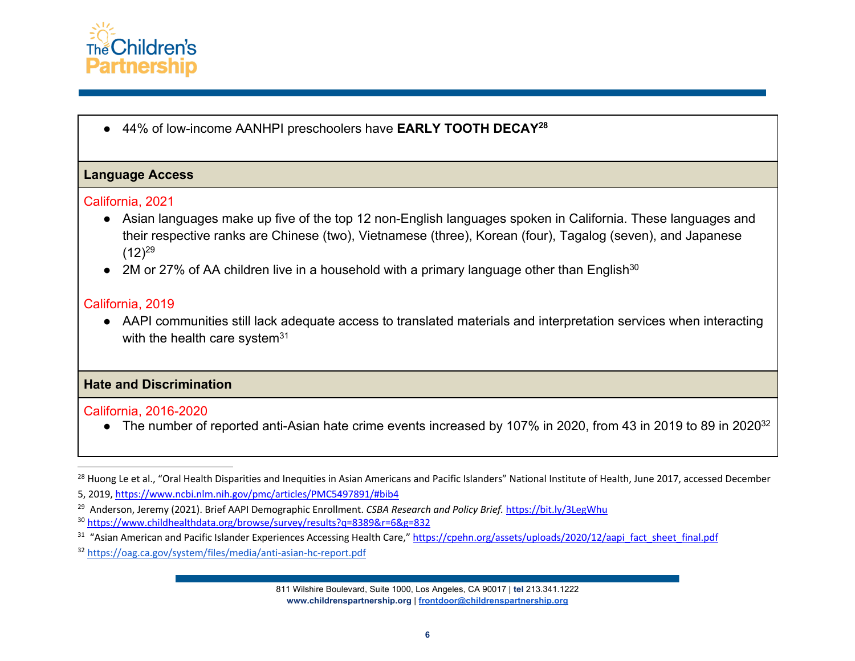

● 44% of low-income AANHPI preschoolers have **EARLY TOOTH DECAY28**

#### **Language Access**

#### California, 2021

- Asian languages make up five of the top 12 non-English languages spoken in California. These languages and their respective ranks are Chinese (two), Vietnamese (three), Korean (four), Tagalog (seven), and Japanese  $(12)^{29}$
- $\bullet$  2M or 27% of AA children live in a household with a primary language other than English<sup>30</sup>

## California, 2019

● AAPI communities still lack adequate access to translated materials and interpretation services when interacting with the health care system<sup>31</sup>

## **Hate and Discrimination**

#### California, 2016-2020

● The number of reported anti-Asian hate crime events increased by 107% in 2020, from 43 in 2019 to 89 in 2020<sup>32</sup>

<sup>&</sup>lt;sup>28</sup> Huong Le et al., "Oral Health Disparities and Inequities in Asian Americans and Pacific Islanders" National Institute of Health, June 2017, accessed December

<sup>5, 2019,</sup> https://www.ncbi.nlm.nih.gov/pmc/articles/PMC5497891/#bib4

<sup>29</sup> Anderson, Jeremy (2021). Brief AAPI Demographic Enrollment. *CSBA Research and Policy Brief.* https://bit.ly/3LegWhu

<sup>30</sup> https://www.childhealthdata.org/browse/survey/results?q=8389&r=6&g=832

<sup>&</sup>lt;sup>31</sup> "Asian American and Pacific Islander Experiences Accessing Health Care," https://cpehn.org/assets/uploads/2020/12/aapi fact sheet final.pdf

<sup>32</sup> https://oag.ca.gov/system/files/media/anti-asian-hc-report.pdf

<sup>811</sup> Wilshire Boulevard, Suite 1000, Los Angeles, CA 90017 | **tel** 213.341.1222 **www.childrenspartnership.org** | **frontdoor@childrenspartnership.org**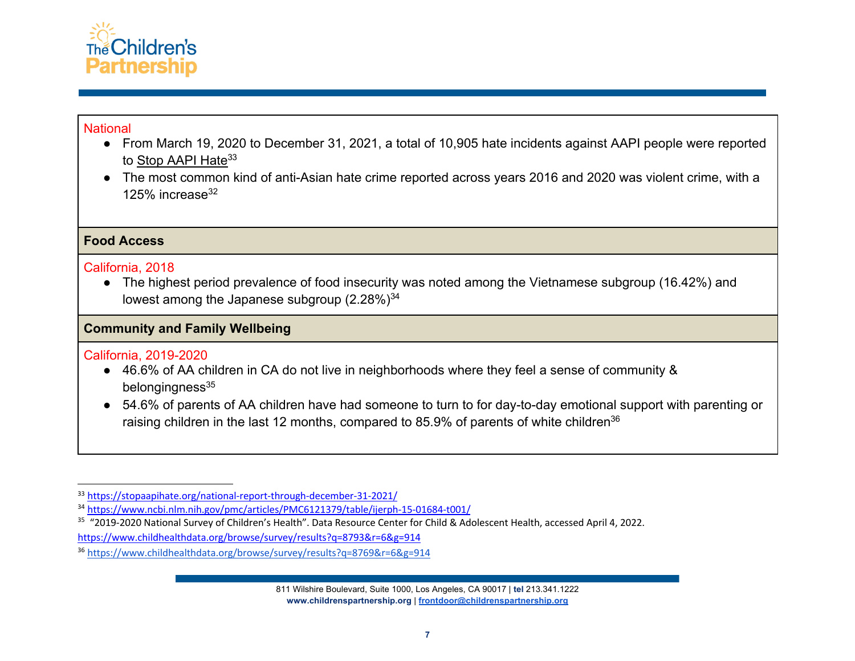

## **National**

- From March 19, 2020 to December 31, 2021, a total of 10,905 hate incidents against AAPI people were reported to Stop AAPI Hate<sup>33</sup>
- The most common kind of anti-Asian hate crime reported across years 2016 and 2020 was violent crime, with a 125% increase $32$

# **Food Access**

## California, 2018

● The highest period prevalence of food insecurity was noted among the Vietnamese subgroup (16.42%) and lowest among the Japanese subgroup (2.28%)<sup>34</sup>

# **Community and Family Wellbeing**

# California, 2019-2020

- 46.6% of AA children in CA do not live in neighborhoods where they feel a sense of community & belongingness $35$
- 54.6% of parents of AA children have had someone to turn to for day-to-day emotional support with parenting or raising children in the last 12 months, compared to 85.9% of parents of white children<sup>36</sup>

<sup>35</sup> "2019-2020 National Survey of Children's Health". Data Resource Center for Child & Adolescent Health, accessed April 4, 2022. https://www.childhealthdata.org/browse/survey/results?q=8793&r=6&g=914

811 Wilshire Boulevard, Suite 1000, Los Angeles, CA 90017 | **tel** 213.341.1222 **www.childrenspartnership.org** | **frontdoor@childrenspartnership.org**

<sup>33</sup> https://stopaapihate.org/national-report-through-december-31-2021/

<sup>34</sup> https://www.ncbi.nlm.nih.gov/pmc/articles/PMC6121379/table/ijerph-15-01684-t001/

<sup>36</sup> https://www.childhealthdata.org/browse/survey/results?q=8769&r=6&g=914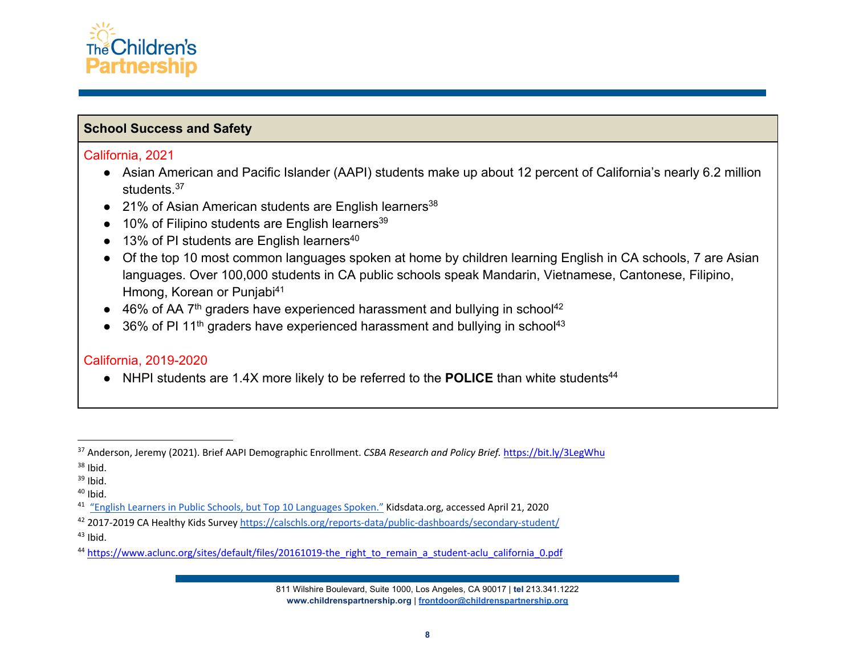

## **School Success and Safety**

#### California, 2021

- Asian American and Pacific Islander (AAPI) students make up about 12 percent of California's nearly 6.2 million students.<sup>37</sup>
- $\bullet$  21% of Asian American students are English learners<sup>38</sup>
- $\bullet$  10% of Filipino students are English learners<sup>39</sup>
- $\bullet$  13% of PI students are English learners<sup>40</sup>
- Of the top 10 most common languages spoken at home by children learning English in CA schools, 7 are Asian languages. Over 100,000 students in CA public schools speak Mandarin, Vietnamese, Cantonese, Filipino, Hmong, Korean or Punjabi<sup>41</sup>
- $\bullet$  46% of AA 7<sup>th</sup> graders have experienced harassment and bullying in school<sup>42</sup>
- $\bullet$  36% of PI 11<sup>th</sup> graders have experienced harassment and bullying in school<sup>43</sup>

# California, 2019-2020

● NHPI students are 1.4X more likely to be referred to the POLICE than white students<sup>44</sup>

<sup>42</sup> 2017-2019 CA Healthy Kids Survey https://calschls.org/reports-data/public-dashboards/secondary-student/

 $43$  Ibid.

<sup>37</sup> Anderson, Jeremy (2021). Brief AAPI Demographic Enrollment. *CSBA Research and Policy Brief.* https://bit.ly/3LegWhu

<sup>&</sup>lt;sup>38</sup> Ibid.<br><sup>39</sup> Ibid.<br><sup>40</sup> Ibid.<br><sup>41</sup> "English Learners in Public Schools, but Top 10 Languages Spoken." Kidsdata.org, accessed April 21, 2020

<sup>&</sup>lt;sup>44</sup> https://www.aclunc.org/sites/default/files/20161019-the\_right\_to\_remain\_a\_student-aclu\_california\_0.pdf

<sup>811</sup> Wilshire Boulevard, Suite 1000, Los Angeles, CA 90017 | **tel** 213.341.1222 **www.childrenspartnership.org** | **frontdoor@childrenspartnership.org**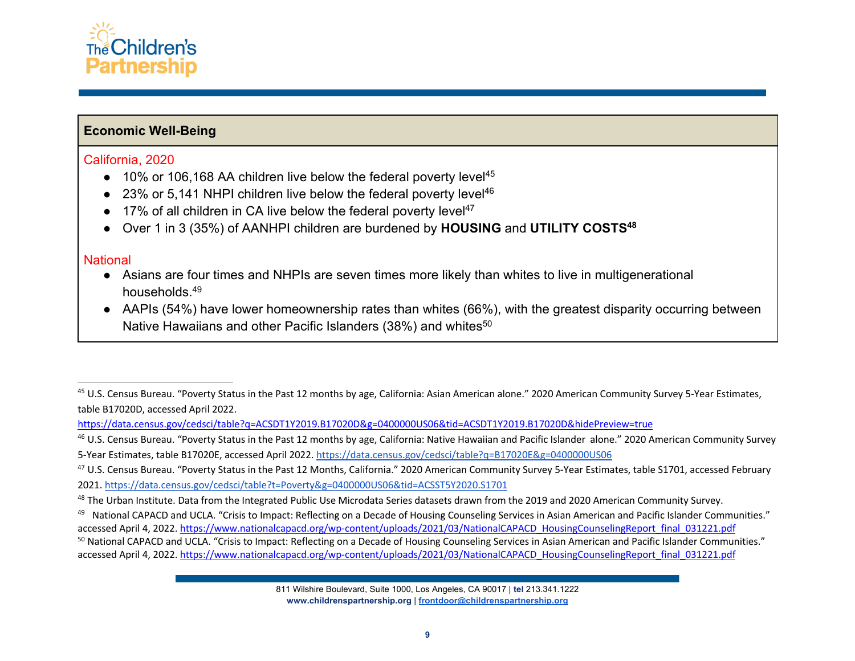

## **Economic Well-Being**

#### California, 2020

- $\bullet$  10% or 106,168 AA children live below the federal poverty level<sup>45</sup>
- $\bullet$  23% or 5,141 NHPI children live below the federal poverty level<sup>46</sup>
- $\bullet$  17% of all children in CA live below the federal poverty level<sup>47</sup>
- Over 1 in 3 (35%) of AANHPI children are burdened by **HOUSING** and **UTILITY COSTS48**

#### National

- Asians are four times and NHPIs are seven times more likely than whites to live in multigenerational households.49
- AAPIs (54%) have lower homeownership rates than whites (66%), with the greatest disparity occurring between Native Hawaiians and other Pacific Islanders (38%) and whites<sup>50</sup>

<sup>&</sup>lt;sup>45</sup> U.S. Census Bureau. "Poverty Status in the Past 12 months by age, California: Asian American alone." 2020 American Community Survey 5-Year Estimates, table B17020D, accessed April 2022.

https://data.census.gov/cedsci/table?q=ACSDT1Y2019.B17020D&g=0400000US06&tid=ACSDT1Y2019.B17020D&hidePreview=true

<sup>&</sup>lt;sup>46</sup> U.S. Census Bureau. "Poverty Status in the Past 12 months by age, California: Native Hawaiian and Pacific Islander alone." 2020 American Community Survey 5-Year Estimates, table B17020E, accessed April 2022. https://data.census.gov/cedsci/table?q=B17020E&g=0400000US06

<sup>47</sup> U.S. Census Bureau. "Poverty Status in the Past 12 Months, California." 2020 American Community Survey 5-Year Estimates, table S1701, accessed February 2021. https://data.census.gov/cedsci/table?t=Poverty&g=0400000US06&tid=ACSST5Y2020.S1701

<sup>&</sup>lt;sup>48</sup> The Urban Institute. Data from the Integrated Public Use Microdata Series datasets drawn from the 2019 and 2020 American Community Survey.

<sup>49</sup> National CAPACD and UCLA. "Crisis to Impact: Reflecting on a Decade of Housing Counseling Services in Asian American and Pacific Islander Communities." accessed April 4, 2022. https://www.nationalcapacd.org/wp-content/uploads/2021/03/NationalCAPACD\_HousingCounselingReport\_final\_031221.pdf

<sup>50</sup> National CAPACD and UCLA. "Crisis to Impact: Reflecting on a Decade of Housing Counseling Services in Asian American and Pacific Islander Communities." accessed April 4, 2022. https://www.nationalcapacd.org/wp-content/uploads/2021/03/NationalCAPACD\_HousingCounselingReport\_final\_031221.pdf